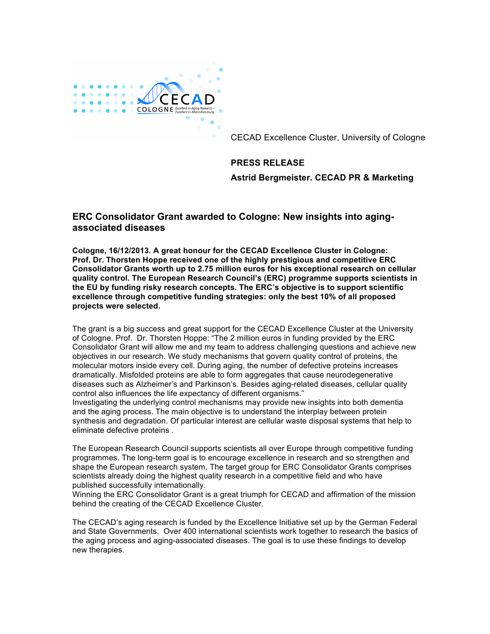

CECAD Excellence Cluster, University of Cologne

## **PRESS RELEASE**

**Astrid Bergmeister. CECAD PR & Marketing**

## **ERC Consolidator Grant awarded to Cologne: New insights into agingassociated diseases**

**Cologne, 16/12/2013. A great honour for the CECAD Excellence Cluster in Cologne: Prof. Dr. Thorsten Hoppe received one of the highly prestigious and competitive ERC Consolidator Grants worth up to 2.75 million euros for his exceptional research on cellular quality control. The European Research Council's (ERC) programme supports scientists in the EU by funding risky research concepts. The ERC's objective is to support scientific excellence through competitive funding strategies: only the best 10% of all proposed projects were selected.** 

The grant is a big success and great support for the CECAD Excellence Cluster at the University of Cologne. Prof. Dr. Thorsten Hoppe: "The 2 million euros in funding provided by the ERC Consolidator Grant will allow me and my team to address challenging questions and achieve new objectives in our research. We study mechanisms that govern quality control of proteins, the molecular motors inside every cell. During aging, the number of defective proteins increases dramatically. Misfolded proteins are able to form aggregates that cause neurodegenerative diseases such as Alzheimer's and Parkinson's. Besides aging-related diseases, cellular quality control also influences the life expectancy of different organisms."

Investigating the underlying control mechanisms may provide new insights into both dementia and the aging process. The main objective is to understand the interplay between protein synthesis and degradation. Of particular interest are cellular waste disposal systems that help to eliminate defective proteins .

The European Research Council supports scientists all over Europe through competitive funding programmes. The long-term goal is to encourage excellence in research and so strengthen and shape the European research system. The target group for ERC Consolidator Grants comprises scientists already doing the highest quality research in a competitive field and who have published successfully internationally.

Winning the ERC Consolidator Grant is a great triumph for CECAD and affirmation of the mission behind the creating of the CECAD Excellence Cluster.

The CECAD's aging research is funded by the Excellence Initiative set up by the German Federal and State Governments. Over 400 international scientists work together to research the basics of the aging process and aging-associated diseases. The goal is to use these findings to develop new therapies.